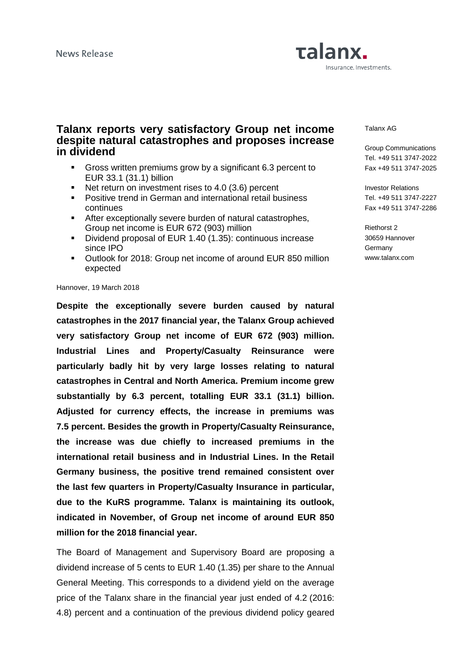# Talanx. Insurance. Investments.

## **Talanx reports very satisfactory Group net income despite natural catastrophes and proposes increase in dividend**

- Gross written premiums grow by a significant 6.3 percent to EUR 33.1 (31.1) billion
- Net return on investment rises to 4.0 (3.6) percent
- **Positive trend in German and international retail business** continues
- After exceptionally severe burden of natural catastrophes, Group net income is EUR 672 (903) million
- Dividend proposal of EUR 1.40 (1.35): continuous increase since IPO
- Outlook for 2018: Group net income of around EUR 850 million expected

#### Hannover, 19 March 2018

**Despite the exceptionally severe burden caused by natural catastrophes in the 2017 financial year, the Talanx Group achieved very satisfactory Group net income of EUR 672 (903) million. Industrial Lines and Property/Casualty Reinsurance were particularly badly hit by very large losses relating to natural catastrophes in Central and North America. Premium income grew substantially by 6.3 percent, totalling EUR 33.1 (31.1) billion. Adjusted for currency effects, the increase in premiums was 7.5 percent. Besides the growth in Property/Casualty Reinsurance, the increase was due chiefly to increased premiums in the international retail business and in Industrial Lines. In the Retail Germany business, the positive trend remained consistent over the last few quarters in Property/Casualty Insurance in particular, due to the KuRS programme. Talanx is maintaining its outlook, indicated in November, of Group net income of around EUR 850 million for the 2018 financial year.** 

The Board of Management and Supervisory Board are proposing a dividend increase of 5 cents to EUR 1.40 (1.35) per share to the Annual General Meeting. This corresponds to a dividend yield on the average price of the Talanx share in the financial year just ended of 4.2 (2016: 4.8) percent and a continuation of the previous dividend policy geared

#### Talanx AG

Group Communications Tel. +49 511 3747-2022 Fax +49 511 3747-2025

Investor Relations Tel. +49 511 3747-2227 Fax +49 511 3747-2286

Riethorst 2 30659 Hannover **Germany** www.talanx.com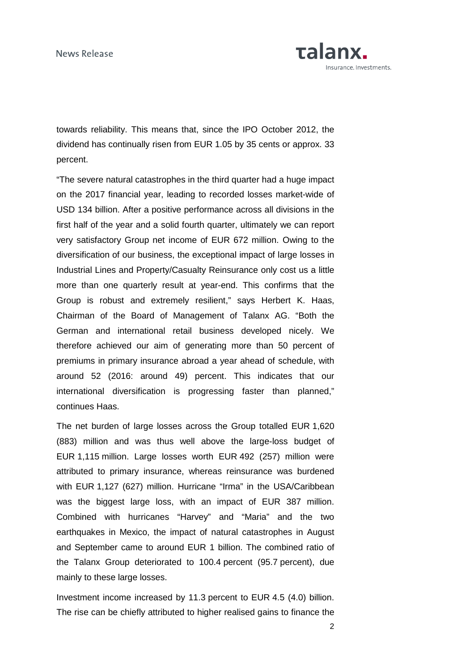News Release



towards reliability. This means that, since the IPO October 2012, the dividend has continually risen from EUR 1.05 by 35 cents or approx. 33 percent.

"The severe natural catastrophes in the third quarter had a huge impact on the 2017 financial year, leading to recorded losses market-wide of USD 134 billion. After a positive performance across all divisions in the first half of the year and a solid fourth quarter, ultimately we can report very satisfactory Group net income of EUR 672 million. Owing to the diversification of our business, the exceptional impact of large losses in Industrial Lines and Property/Casualty Reinsurance only cost us a little more than one quarterly result at year-end. This confirms that the Group is robust and extremely resilient," says Herbert K. Haas, Chairman of the Board of Management of Talanx AG. "Both the German and international retail business developed nicely. We therefore achieved our aim of generating more than 50 percent of premiums in primary insurance abroad a year ahead of schedule, with around 52 (2016: around 49) percent. This indicates that our international diversification is progressing faster than planned," continues Haas.

The net burden of large losses across the Group totalled EUR 1,620 (883) million and was thus well above the large-loss budget of EUR 1,115 million. Large losses worth EUR 492 (257) million were attributed to primary insurance, whereas reinsurance was burdened with EUR 1,127 (627) million. Hurricane "Irma" in the USA/Caribbean was the biggest large loss, with an impact of EUR 387 million. Combined with hurricanes "Harvey" and "Maria" and the two earthquakes in Mexico, the impact of natural catastrophes in August and September came to around EUR 1 billion. The combined ratio of the Talanx Group deteriorated to 100.4 percent (95.7 percent), due mainly to these large losses.

Investment income increased by 11.3 percent to EUR 4.5 (4.0) billion. The rise can be chiefly attributed to higher realised gains to finance the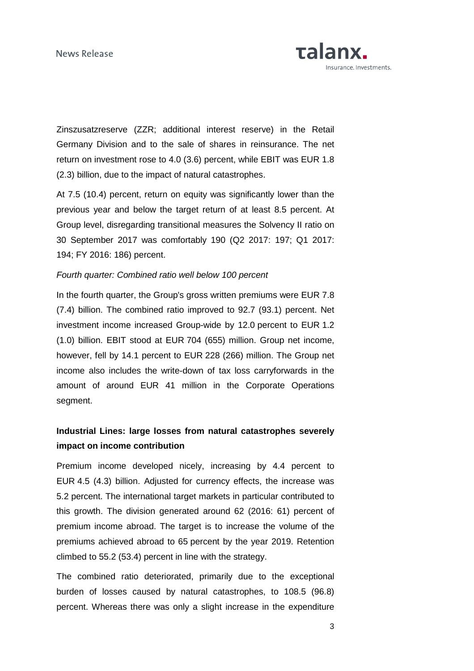News Release

Talanx. nsurance. Investments.

Zinszusatzreserve (ZZR; additional interest reserve) in the Retail Germany Division and to the sale of shares in reinsurance. The net return on investment rose to 4.0 (3.6) percent, while EBIT was EUR 1.8 (2.3) billion, due to the impact of natural catastrophes.

At 7.5 (10.4) percent, return on equity was significantly lower than the previous year and below the target return of at least 8.5 percent. At Group level, disregarding transitional measures the Solvency II ratio on 30 September 2017 was comfortably 190 (Q2 2017: 197; Q1 2017: 194; FY 2016: 186) percent.

### Fourth quarter: Combined ratio well below 100 percent

In the fourth quarter, the Group's gross written premiums were EUR 7.8 (7.4) billion. The combined ratio improved to 92.7 (93.1) percent. Net investment income increased Group-wide by 12.0 percent to EUR 1.2 (1.0) billion. EBIT stood at EUR 704 (655) million. Group net income, however, fell by 14.1 percent to EUR 228 (266) million. The Group net income also includes the write-down of tax loss carryforwards in the amount of around EUR 41 million in the Corporate Operations segment.

## **Industrial Lines: large losses from natural catastrophes severely impact on income contribution**

Premium income developed nicely, increasing by 4.4 percent to EUR 4.5 (4.3) billion. Adjusted for currency effects, the increase was 5.2 percent. The international target markets in particular contributed to this growth. The division generated around 62 (2016: 61) percent of premium income abroad. The target is to increase the volume of the premiums achieved abroad to 65 percent by the year 2019. Retention climbed to 55.2 (53.4) percent in line with the strategy.

The combined ratio deteriorated, primarily due to the exceptional burden of losses caused by natural catastrophes, to 108.5 (96.8) percent. Whereas there was only a slight increase in the expenditure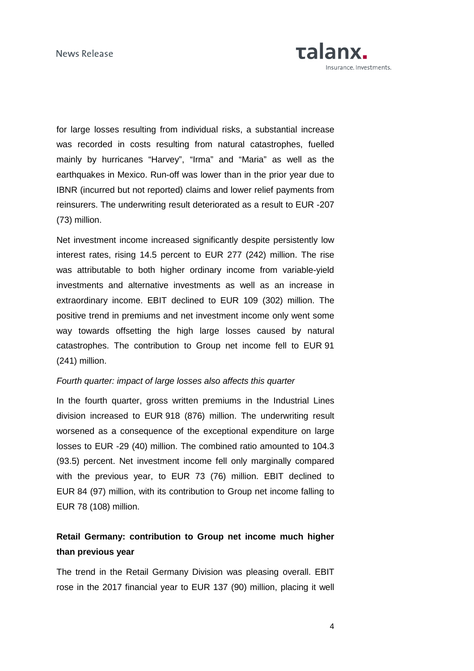

for large losses resulting from individual risks, a substantial increase was recorded in costs resulting from natural catastrophes, fuelled mainly by hurricanes "Harvey", "Irma" and "Maria" as well as the earthquakes in Mexico. Run-off was lower than in the prior year due to IBNR (incurred but not reported) claims and lower relief payments from reinsurers. The underwriting result deteriorated as a result to EUR -207 (73) million.

Net investment income increased significantly despite persistently low interest rates, rising 14.5 percent to EUR 277 (242) million. The rise was attributable to both higher ordinary income from variable-yield investments and alternative investments as well as an increase in extraordinary income. EBIT declined to EUR 109 (302) million. The positive trend in premiums and net investment income only went some way towards offsetting the high large losses caused by natural catastrophes. The contribution to Group net income fell to EUR 91 (241) million.

### Fourth quarter: impact of large losses also affects this quarter

In the fourth quarter, gross written premiums in the Industrial Lines division increased to EUR 918 (876) million. The underwriting result worsened as a consequence of the exceptional expenditure on large losses to EUR -29 (40) million. The combined ratio amounted to 104.3 (93.5) percent. Net investment income fell only marginally compared with the previous year, to EUR 73 (76) million. EBIT declined to EUR 84 (97) million, with its contribution to Group net income falling to EUR 78 (108) million.

## **Retail Germany: contribution to Group net income much higher than previous year**

The trend in the Retail Germany Division was pleasing overall. EBIT rose in the 2017 financial year to EUR 137 (90) million, placing it well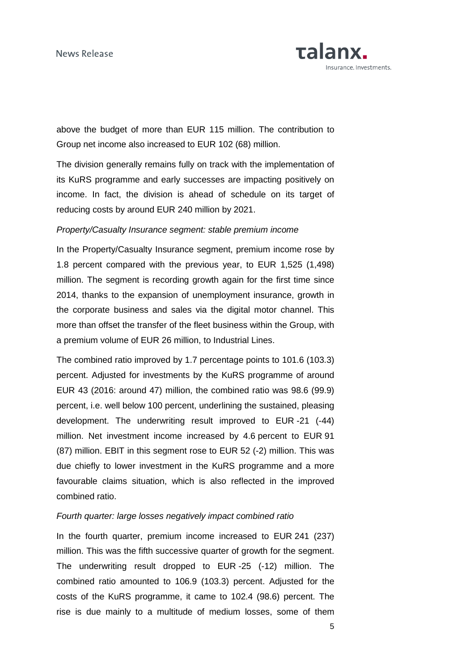

above the budget of more than EUR 115 million. The contribution to Group net income also increased to EUR 102 (68) million.

The division generally remains fully on track with the implementation of its KuRS programme and early successes are impacting positively on income. In fact, the division is ahead of schedule on its target of reducing costs by around EUR 240 million by 2021.

## Property/Casualty Insurance segment: stable premium income

In the Property/Casualty Insurance segment, premium income rose by 1.8 percent compared with the previous year, to EUR 1,525 (1,498) million. The segment is recording growth again for the first time since 2014, thanks to the expansion of unemployment insurance, growth in the corporate business and sales via the digital motor channel. This more than offset the transfer of the fleet business within the Group, with a premium volume of EUR 26 million, to Industrial Lines.

The combined ratio improved by 1.7 percentage points to 101.6 (103.3) percent. Adjusted for investments by the KuRS programme of around EUR 43 (2016: around 47) million, the combined ratio was 98.6 (99.9) percent, i.e. well below 100 percent, underlining the sustained, pleasing development. The underwriting result improved to EUR -21 (-44) million. Net investment income increased by 4.6 percent to EUR 91 (87) million. EBIT in this segment rose to EUR 52 (-2) million. This was due chiefly to lower investment in the KuRS programme and a more favourable claims situation, which is also reflected in the improved combined ratio.

#### Fourth quarter: large losses negatively impact combined ratio

In the fourth quarter, premium income increased to EUR 241 (237) million. This was the fifth successive quarter of growth for the segment. The underwriting result dropped to EUR -25 (-12) million. The combined ratio amounted to 106.9 (103.3) percent. Adjusted for the costs of the KuRS programme, it came to 102.4 (98.6) percent. The rise is due mainly to a multitude of medium losses, some of them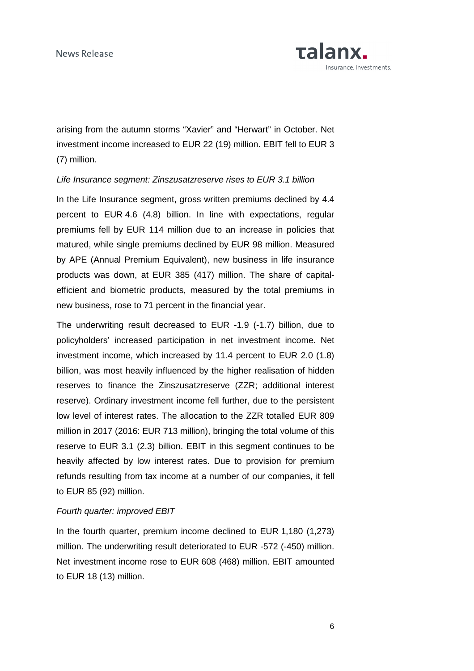

arising from the autumn storms "Xavier" and "Herwart" in October. Net investment income increased to EUR 22 (19) million. EBIT fell to EUR 3 (7) million.

### Life Insurance segment: Zinszusatzreserve rises to EUR 3.1 billion

In the Life Insurance segment, gross written premiums declined by 4.4 percent to EUR 4.6 (4.8) billion. In line with expectations, regular premiums fell by EUR 114 million due to an increase in policies that matured, while single premiums declined by EUR 98 million. Measured by APE (Annual Premium Equivalent), new business in life insurance products was down, at EUR 385 (417) million. The share of capitalefficient and biometric products, measured by the total premiums in new business, rose to 71 percent in the financial year.

The underwriting result decreased to EUR -1.9 (-1.7) billion, due to policyholders' increased participation in net investment income. Net investment income, which increased by 11.4 percent to EUR 2.0 (1.8) billion, was most heavily influenced by the higher realisation of hidden reserves to finance the Zinszusatzreserve (ZZR; additional interest reserve). Ordinary investment income fell further, due to the persistent low level of interest rates. The allocation to the ZZR totalled EUR 809 million in 2017 (2016: EUR 713 million), bringing the total volume of this reserve to EUR 3.1 (2.3) billion. EBIT in this segment continues to be heavily affected by low interest rates. Due to provision for premium refunds resulting from tax income at a number of our companies, it fell to EUR 85 (92) million.

#### Fourth quarter: improved EBIT

In the fourth quarter, premium income declined to EUR 1,180 (1,273) million. The underwriting result deteriorated to EUR -572 (-450) million. Net investment income rose to EUR 608 (468) million. EBIT amounted to EUR 18 (13) million.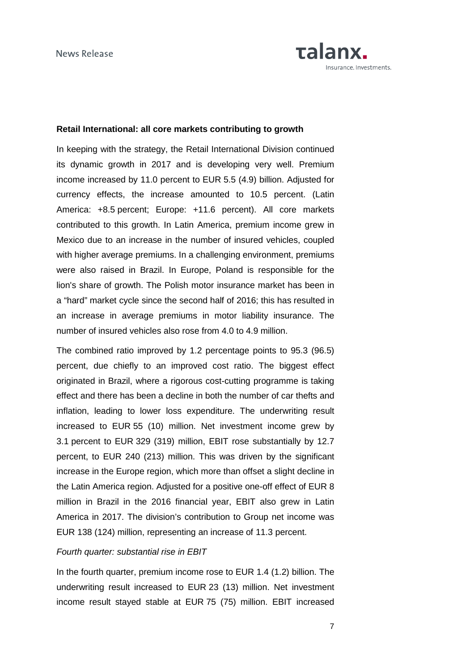

## **Retail International: all core markets contributing to growth**

In keeping with the strategy, the Retail International Division continued its dynamic growth in 2017 and is developing very well. Premium income increased by 11.0 percent to EUR 5.5 (4.9) billion. Adjusted for currency effects, the increase amounted to 10.5 percent. (Latin America: +8.5 percent; Europe: +11.6 percent). All core markets contributed to this growth. In Latin America, premium income grew in Mexico due to an increase in the number of insured vehicles, coupled with higher average premiums. In a challenging environment, premiums were also raised in Brazil. In Europe, Poland is responsible for the lion's share of growth. The Polish motor insurance market has been in a "hard" market cycle since the second half of 2016; this has resulted in an increase in average premiums in motor liability insurance. The number of insured vehicles also rose from 4.0 to 4.9 million.

The combined ratio improved by 1.2 percentage points to 95.3 (96.5) percent, due chiefly to an improved cost ratio. The biggest effect originated in Brazil, where a rigorous cost-cutting programme is taking effect and there has been a decline in both the number of car thefts and inflation, leading to lower loss expenditure. The underwriting result increased to EUR 55 (10) million. Net investment income grew by 3.1 percent to EUR 329 (319) million, EBIT rose substantially by 12.7 percent, to EUR 240 (213) million. This was driven by the significant increase in the Europe region, which more than offset a slight decline in the Latin America region. Adjusted for a positive one-off effect of EUR 8 million in Brazil in the 2016 financial year, EBIT also grew in Latin America in 2017. The division's contribution to Group net income was EUR 138 (124) million, representing an increase of 11.3 percent.

#### Fourth quarter: substantial rise in EBIT

In the fourth quarter, premium income rose to EUR 1.4 (1.2) billion. The underwriting result increased to EUR 23 (13) million. Net investment income result stayed stable at EUR 75 (75) million. EBIT increased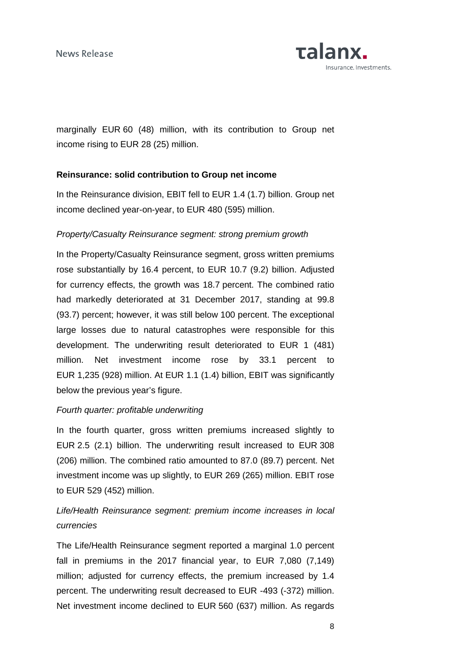

marginally EUR 60 (48) million, with its contribution to Group net income rising to EUR 28 (25) million.

## **Reinsurance: solid contribution to Group net income**

In the Reinsurance division, EBIT fell to EUR 1.4 (1.7) billion. Group net income declined year-on-year, to EUR 480 (595) million.

## Property/Casualty Reinsurance segment: strong premium growth

In the Property/Casualty Reinsurance segment, gross written premiums rose substantially by 16.4 percent, to EUR 10.7 (9.2) billion. Adjusted for currency effects, the growth was 18.7 percent. The combined ratio had markedly deteriorated at 31 December 2017, standing at 99.8 (93.7) percent; however, it was still below 100 percent. The exceptional large losses due to natural catastrophes were responsible for this development. The underwriting result deteriorated to EUR 1 (481) million. Net investment income rose by 33.1 percent to EUR 1,235 (928) million. At EUR 1.1 (1.4) billion, EBIT was significantly below the previous year's figure.

## Fourth quarter: profitable underwriting

In the fourth quarter, gross written premiums increased slightly to EUR 2.5 (2.1) billion. The underwriting result increased to EUR 308 (206) million. The combined ratio amounted to 87.0 (89.7) percent. Net investment income was up slightly, to EUR 269 (265) million. EBIT rose to EUR 529 (452) million.

## Life/Health Reinsurance segment: premium income increases in local currencies

The Life/Health Reinsurance segment reported a marginal 1.0 percent fall in premiums in the 2017 financial year, to EUR 7,080 (7,149) million; adjusted for currency effects, the premium increased by 1.4 percent. The underwriting result decreased to EUR -493 (-372) million. Net investment income declined to EUR 560 (637) million. As regards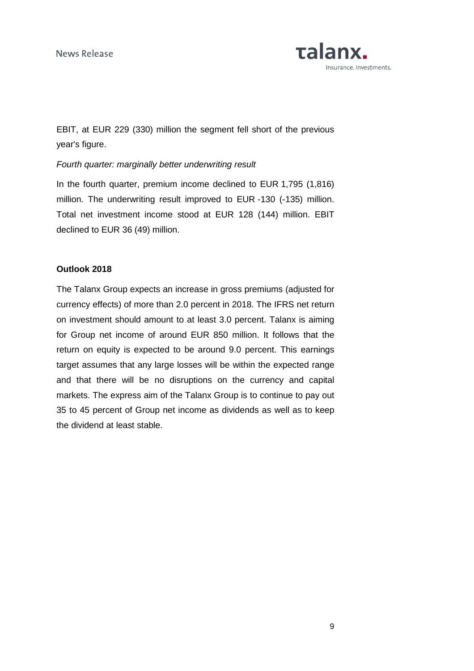

EBIT, at EUR 229 (330) million the segment fell short of the previous year's figure.

## Fourth quarter: marginally better underwriting result

In the fourth quarter, premium income declined to EUR 1,795 (1,816) million. The underwriting result improved to EUR -130 (-135) million. Total net investment income stood at EUR 128 (144) million. EBIT declined to EUR 36 (49) million.

## **Outlook 2018**

The Talanx Group expects an increase in gross premiums (adjusted for currency effects) of more than 2.0 percent in 2018. The IFRS net return on investment should amount to at least 3.0 percent. Talanx is aiming for Group net income of around EUR 850 million. It follows that the return on equity is expected to be around 9.0 percent. This earnings target assumes that any large losses will be within the expected range and that there will be no disruptions on the currency and capital markets. The express aim of the Talanx Group is to continue to pay out 35 to 45 percent of Group net income as dividends as well as to keep the dividend at least stable.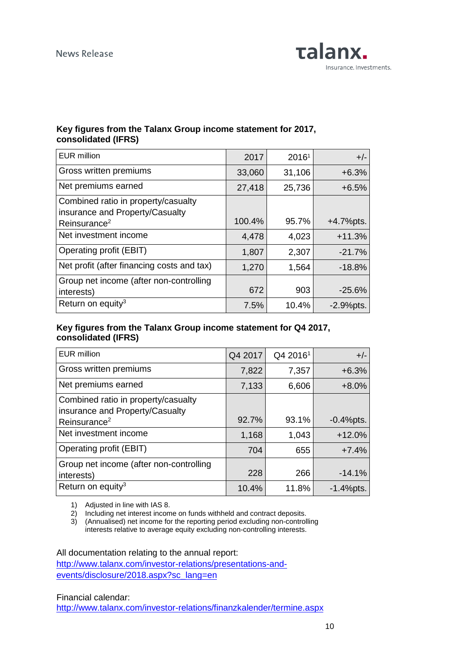

## **Key figures from the Talanx Group income statement for 2017, consolidated (IFRS)**

| EUR million                                                                                        | 2017   | 20161  | $+/-$        |
|----------------------------------------------------------------------------------------------------|--------|--------|--------------|
| Gross written premiums                                                                             | 33,060 | 31,106 | $+6.3%$      |
| Net premiums earned                                                                                | 27,418 | 25,736 | $+6.5%$      |
| Combined ratio in property/casualty<br>insurance and Property/Casualty<br>Reinsurance <sup>2</sup> | 100.4% | 95.7%  | $+4.7%$ pts. |
| Net investment income                                                                              | 4,478  | 4,023  | $+11.3%$     |
| Operating profit (EBIT)                                                                            | 1,807  | 2,307  | $-21.7%$     |
| Net profit (after financing costs and tax)                                                         | 1,270  | 1,564  | $-18.8\%$    |
| Group net income (after non-controlling<br>interests)                                              | 672    | 903    | $-25.6%$     |
| Return on equity <sup>3</sup>                                                                      | 7.5%   | 10.4%  | $-2.9%$ pts. |

## **Key figures from the Talanx Group income statement for Q4 2017, consolidated (IFRS)**

| <b>EUR</b> million                                                     | Q4 2017 | Q4 2016 <sup>1</sup> | $+/-$        |
|------------------------------------------------------------------------|---------|----------------------|--------------|
| Gross written premiums                                                 | 7,822   | 7,357                | $+6.3%$      |
| Net premiums earned                                                    | 7,133   | 6,606                | $+8.0%$      |
| Combined ratio in property/casualty<br>insurance and Property/Casualty |         |                      |              |
| Reinsurance <sup>2</sup>                                               | 92.7%   | 93.1%                | $-0.4%$ pts. |
| Net investment income                                                  | 1,168   | 1,043                | $+12.0%$     |
| Operating profit (EBIT)                                                | 704     | 655                  | $+7.4%$      |
| Group net income (after non-controlling<br>interests)                  | 228     | 266                  | $-14.1%$     |
| Return on equity <sup>3</sup>                                          | 10.4%   | 11.8%                | $-1.4%$ pts. |

1) Adjusted in line with IAS 8.

2) Including net interest income on funds withheld and contract deposits.

3) (Annualised) net income for the reporting period excluding non-controlling interests relative to average equity excluding non-controlling interests.

All documentation relating to the annual report:

http://www.talanx.com/investor-relations/presentations-andevents/disclosure/2018.aspx?sc\_lang=en

Financial calendar:

http://www.talanx.com/investor-relations/finanzkalender/termine.aspx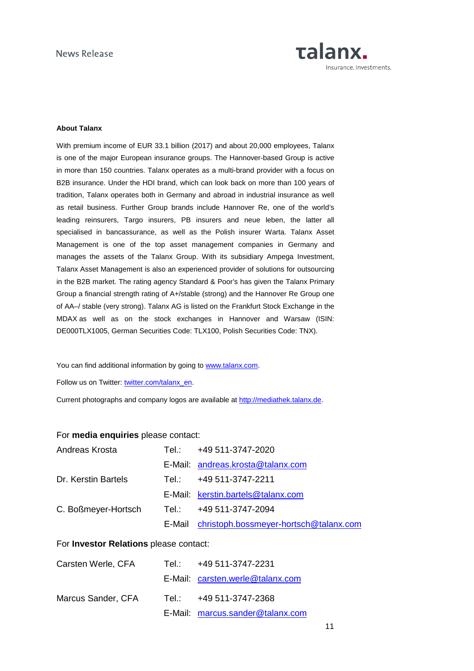

#### **About Talanx**

With premium income of EUR 33.1 billion (2017) and about 20,000 employees, Talanx is one of the major European insurance groups. The Hannover-based Group is active in more than 150 countries. Talanx operates as a multi-brand provider with a focus on B2B insurance. Under the HDI brand, which can look back on more than 100 years of tradition, Talanx operates both in Germany and abroad in industrial insurance as well as retail business. Further Group brands include Hannover Re, one of the world's leading reinsurers, Targo insurers, PB insurers and neue leben, the latter all specialised in bancassurance, as well as the Polish insurer Warta. Talanx Asset Management is one of the top asset management companies in Germany and manages the assets of the Talanx Group. With its subsidiary Ampega Investment, Talanx Asset Management is also an experienced provider of solutions for outsourcing in the B2B market. The rating agency Standard & Poor's has given the Talanx Primary Group a financial strength rating of A+/stable (strong) and the Hannover Re Group one of AA–/ stable (very strong). Talanx AG is listed on the Frankfurt Stock Exchange in the MDAX as well as on the stock exchanges in Hannover and Warsaw (ISIN: DE000TLX1005, German Securities Code: TLX100, Polish Securities Code: TNX).

You can find additional information by going to www.talanx.com.

Follow us on Twitter: twitter.com/talanx\_en.

Current photographs and company logos are available at http://mediathek.talanx.de.

#### For **media enquiries** please contact:

| Andreas Krosta      | Tel.: +49 511-3747-2020                       |
|---------------------|-----------------------------------------------|
|                     | E-Mail: andreas.krosta@talanx.com             |
| Dr. Kerstin Bartels | Tel.: +49 511-3747-2211                       |
|                     | E-Mail: kerstin.bartels@talanx.com            |
| C. Boßmeyer-Hortsch | Tel.: +49 511-3747-2094                       |
|                     | E-Mail christoph.bossmeyer-hortsch@talanx.com |

#### For **Investor Relations** please contact:

| Carsten Werle, CFA | Tel.: +49 511-3747-2231          |
|--------------------|----------------------------------|
|                    | E-Mail: carsten.werle@talanx.com |
| Marcus Sander, CFA | Tel.: +49 511-3747-2368          |
|                    | E-Mail: marcus.sander@talanx.com |